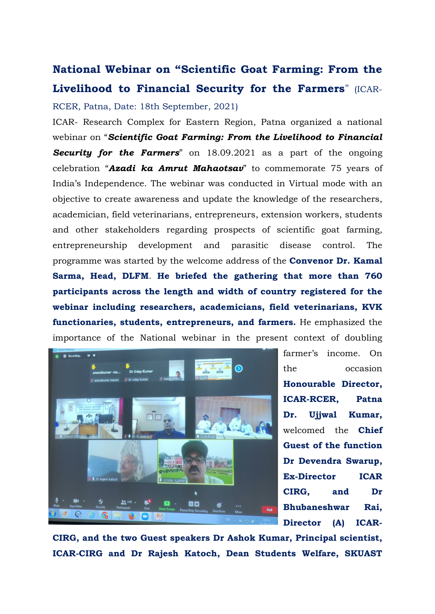## **National Webinar on "Scientific Goat Farming: From the Livelihood to Financial Security for the Farmers**" (ICAR-RCER, Patna, Date: 18th September, 2021)

ICAR- Research Complex for Eastern Region, Patna organized a national webinar on "*Scientific Goat Farming: From the Livelihood to Financial Security for the Farmers*" on 18.09.2021 as a part of the ongoing celebration "*Azadi ka Amrut Mahaotsav*" to commemorate 75 years of India's Independence. The webinar was conducted in Virtual mode with an objective to create awareness and update the knowledge of the researchers, academician, field veterinarians, entrepreneurs, extension workers, students and other stakeholders regarding prospects of scientific goat farming, entrepreneurship development and parasitic disease control. The programme was started by the welcome address of the **Convenor Dr. Kamal Sarma, Head, DLFM**. **He briefed the gathering that more than 760 participants across the length and width of country registered for the webinar including researchers, academicians, field veterinarians, KVK functionaries, students, entrepreneurs, and farmers.** He emphasized the importance of the National webinar in the present context of doubling



farmer's income. On the occasion **Honourable Director, ICAR-RCER, Patna Dr. Ujjwal Kumar,** welcomed the **Chief Guest of the function Dr Devendra Swarup, Ex-Director ICAR CIRG, and Dr Bhubaneshwar Rai, Director (A) ICAR-**

**CIRG, and the two Guest speakers Dr Ashok Kumar, Principal scientist, ICAR-CIRG and Dr Rajesh Katoch, Dean Students Welfare, SKUAST**